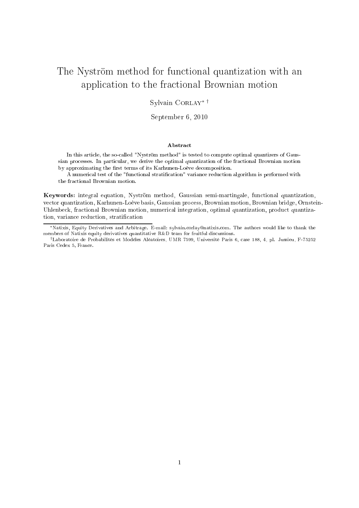# The Nyström method for functional quantization with an application to the fractional Brownian motion

Sylvain Corlay∗ †

September 6, <sup>2010</sup>

#### Abstra
t

In this article, the so-called "Nyström method" is tested to compute optimal quantizers of Gaussian pro
esses. In parti
ular, we derive the optimal quantization of the fra
tional Brownian motion by approximating the first terms of its Karhunen-Loève decomposition.

A numerical test of the "functional stratification" variance reduction algorithm is performed with the fra
tional Brownian motion.

Keywords: integral equation, Nyström method, Gaussian semi-martingale, functional quantization, ve
tor quantization, Karhunen-Loève basis, Gaussian pro
ess, Brownian motion, Brownian bridge, Ornstein-Uhlenbeck, fractional Brownian motion, numerical integration, optimal quantization, product quantization, variance reduction, stratification

<sup>\*</sup>Natixis, Equity Derivatives and Arbitrage. E-mail: sylvain.corlay@natixis.com. The authors would like to thank the members of Natixis equity derivatives quantitative R&D team for fruitful dis
ussions.

<sup>†</sup>Laboratoire de Probabilités et Modèles Aléatoires, UMR 7599, Université Paris 6, ase 188, 4, pl. Jussieu, F-75252 Paris Cedex 5, Fran
e.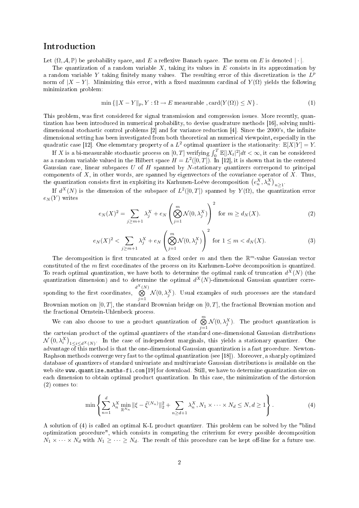# **Introduction**

Let  $(\Omega, \mathcal{A}, \mathbb{P})$  be probability space, and E a reflexive Banach space. The norm on E is denoted | |.

The quantization of a random variable  $X$ , taking its values in  $E$  consists in its approximation by a random variable Y taking finitely many values. The resulting error of this discretization is the  $L^p$ norm of  $|X - Y|$ . Minimizing this error, with a fixed maximum cardinal of  $Y(\Omega)$  yields the following minimization problem:

$$
\min\left\{ \|X - Y\|_p, Y : \Omega \to E \text{ measurable }, \text{card}(Y(\Omega)) \le N \right\}. \tag{1}
$$

This problem, was first considered for signal transmission and compression issues. More recently, quantization has been introduced in numerical probability, to devise quadrature methods [16], solving multidimensional stochastic control problems  $[2]$  and for variance reduction  $[4]$ . Since the 2000's, the infinite dimensional setting has been investigated from both theoretical an numerical viewpoint, especially in the quadratic case [12]. One elementary property of a  $L^2$  optimal quantizer is the stationarity:  $\mathbb{E}[X|Y] = Y$ .

If X is a bi-measurable stochastic process on  $[0,T]$  verifying  $\int_0^T \mathbb{E}[|X_t|^2]dt < \infty$ , it can be considered as a random variable valued in the Hilbert space  $H = L^2([0,T])$ . In [12], it is shown that in the centered Gaussian case, linear subspaces  $U$  of  $H$  spanned by N-stationary quantizers correspond to principal components of  $X$ , in other words, are spanned by eigenvectors of the covariance operator of  $X$ . Thus, the quantization consists first in exploiting its Karhunen-Loève decomposition  $(e_n^X, \lambda_n^X)_{n\geq 1}$ .

If  $d^X(N)$  is the dimension of the subspace of  $L^2([0,T])$  spanned by  $Y(\Omega)$ , the quantization error  $e<sub>N</sub>(Y)$  writes

$$
e_N(X)^2 = \sum_{j \ge m+1} \lambda_j^X + e_N\left(\bigotimes_{j=1}^m \mathcal{N}(0, \lambda_j^X)\right)^2 \text{ for } m \ge d_N(X). \tag{2}
$$

$$
e_N(X)^2 < \sum_{j \ge m+1} \lambda_j^X + e_N \left( \bigotimes_{j=1}^m \mathcal{N}(0, \lambda_j^X) \right)^2 \text{ for } 1 \le m < d_N(X). \tag{3}
$$

The decomposition is first truncated at a fixed order m and then the  $\mathbb{R}^m$ -value Gaussian vector constituted of the m first coordinates of the process on its Karhunen-Loève decomposition is quantized. To reach optimal quantization, we have both to determine the optimal rank of truncation  $d^X(N)$  (the quantization dimension) and to determine the optimal  $d$ quantization dimension) and to determine the optimal  $d^X(N)$ -dimensional Gaussian quantizer corresponding to the rst to the rst to the rst to the rst to the rst to the rst to the rst to the rst to the rst to  $d^X$  $\bigotimes^{\mathfrak{c}_1(N)}$  $\oint_{j=1}^{\infty} \mathcal{N}(0, \lambda_j^X)$ . Usual examples of such processes are the standard Brownian motion on  $[0, T]$ , the standard Brownian bridge on  $[0, T]$ , the fractional Brownian motion and the fra
tional Ornstein-Uhlenbe
k pro
ess.

We can also choose to use a product quantization of  $\bigotimes^m$  $\bigotimes_{j=1} \mathcal{N}(0, \lambda_j^X)$ . The product quantization is the contracting products of the specifical quantizers of the standard contractions on version distributions.  $\mathcal{N}(0, \lambda_i^X)_{1 \leq i \leq d^X(N)}$ . In the case of independent marginals, this yields a stationary quantizer. One advantage of this method is that the one-dimensional Gaussian quantization is a fast pro
edure. Newton-Raphson methods converge very fast to the optimal quantization (see [18]). Moreover, a sharply optimized database of quantizers of standard univariate and multivariate Gaussian distributions is available on the web site www.quantize.maths-fi.com [19] for download. Still, we have to determine quantization size on each dimension to obtain optimal product quantization. In this case, the minimization of the distorsion (2) omes to:

$$
\min \left\{ \sum_{n=1}^{d} \lambda_n^X \min_{\mathbb{R}^{N_n}} \|\xi - \tilde{\xi}^{(N_n)}\|_2^2 + \sum_{n \ge d+1} \lambda_n^X, N_1 \times \dots \times N_d \le N, d \ge 1 \right\}.
$$
 (4)

A solution of (4) is alled an optimal K-L produ
t quantizer. This problem an be solved by the "blind optimization pro
edure", whi
h onsists in omputing the riterium for every possible de
omposition  $N_1 \times \cdots \times N_d$  with  $N_1 \geq \cdots \geq N_d$ . The result of this procedure can be kept off-line for a future use.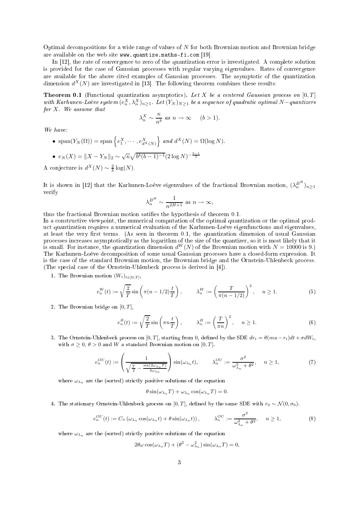Optimal de
ompositions for a wide range of values of N for both Brownian motion and Brownian bridge are available on the web site  $www.$  quantize.maths-fi.com [19].

In  $[12]$ , the rate of convergence to zero of the quantization error is investigated. A complete solution is provided for the case of Gaussian processes with regular varying eigenvalues. Rates of convergence are available for the above cited examples of Gaussian processes. The asymptotic of the quantization dimension  $d^X(N)$  are investigated in [13]. The following theorem combines these results:

**Theorem 0.1** (Functional quantization asymptotics). Let X be a centered Gaussian process on  $[0, T]$ with Karhunen-Loève system  $(e_n^X, \lambda_n^X)_{n\geq 1}$ . Let  $(Y_N)_{N\geq 1}$  be a sequence of quadratic optimal N-quantizers for  $X$ . We assume that

$$
\lambda_n^X \sim \frac{\kappa}{n^b} \text{ as } n \to \infty \quad (b > 1).
$$

We have:

•  $\text{span}(Y_N(\Omega)) = \text{span}\left\{e_1^X, \cdots, e_{d^X(N)}^X\right\}$  and  $d^X(N) = \Omega(\log N)$ . •  $e_N(X) = \|X - Y_N\|_2 \sim \sqrt{\kappa} \sqrt{b^b (b-1)^{-1}} (2 \log N)^{-\frac{b-1}{2}}$ 

A conjecture is  $d^X(N) \sim \frac{2}{b} \log(N)$ .

It is shown in [12] that the Karhunen-Loève eigenvalues of the fractional Brownian motion,  $(\lambda_n^{B^H})_{n\geq 1}$ verify

$$
\lambda_n^{B^H} \sim \frac{1}{n^{2H+1}}
$$
 as  $n \to \infty$ ,

thus the fractional Brownian motion satifies the hypothesis of theorem 0.1.

In a constructive viewpoint, the numerical computation of the optimal quantization or the optimal product quantization requires a numerical evaluation of the Karhunen-Loève eigenfunctions and eigenvalues, at least the very first terms. (As seen in theorem 0.1, the quantization dimension of usual Gaussian is small. For instance, the quantization dimension  $d^W(N)$  of the Brownian motion with  $N = 10000$  is 9.) The Karhunen-Loève decomposition of some usual Gaussian processes have a closed-form expression. It is the ase of the standard Brownian motion, the Brownian bridge and the Ornstein-Uhlenbe
k pro
ess. (The special case of the Ornstein-Uhlenbeck process is derived in [4]).

1. The Brownian motion  $(W_t)_{t \in [0,T]},$ 

$$
e_n^W(t) := \sqrt{\frac{2}{T}} \sin\left(\pi (n - 1/2) \frac{t}{T}\right), \qquad \lambda_n^W := \left(\frac{T}{\pi (n - 1/2)}\right)^2, \quad n \ge 1.
$$
 (5)

2. The Brownian bridge on  $[0, T]$ ,

$$
e_n^B(t) := \sqrt{\frac{2}{T}} \sin\left(\pi n \frac{t}{T}\right), \qquad \lambda_n^B := \left(\frac{T}{\pi n}\right)^2, \quad n \ge 1.
$$
 (6)

3. The Ornstein-Uhlenbeck process on  $[0, T]$ , starting from 0, defined by the SDE  $dr_t = \theta(mu - r_t)dt + \sigma dW_t$ , with  $\sigma \geq 0$ ,  $\theta > 0$  and W a standard Brownian motion on [0, T].

$$
e_n^{OU}(t) := \left(\frac{1}{\sqrt{\frac{T}{2} - \frac{\sin(2\omega_{\lambda_n} T)}{4\omega_{\lambda_n}}}}\right) \sin(\omega_{\lambda_n} t), \qquad \lambda_n^{OU} := \frac{\sigma^2}{\omega_{\lambda_n}^2 + \theta^2}, \quad n \ge 1,
$$
 (7)

where  $\omega_{\lambda_n}$  are the (sorted) strictly positive solutions of the equation

$$
\theta \sin(\omega_{\lambda_n} T) + \omega_{\lambda_n} \cos(\omega_{\lambda_n} T) = 0.
$$

4. The stationary Ornstein-Uhlenbeck process on [0, T], defined by the same SDE with  $r_0 \sim \mathcal{N}(0, \sigma_0)$ .

$$
e_n^{OU}(t) := C_n \left( \omega_{\lambda_n} \cos(\omega_{\lambda_n} t) + \theta \sin(\omega_{\lambda_n} t) \right), \qquad \lambda_n^{OU} := \frac{\sigma^2}{\omega_{\lambda_n}^2 + \theta^2}, \quad n \ge 1,
$$
 (8)

where  $\omega_{\lambda_n}$  are the (sorted) strictly positive solutions of the equation

$$
2\theta\omega\cos(\omega_{\lambda_n}T) + (\theta^2 - \omega_{\lambda_n}^2)\sin(\omega_{\lambda_n}T) = 0,
$$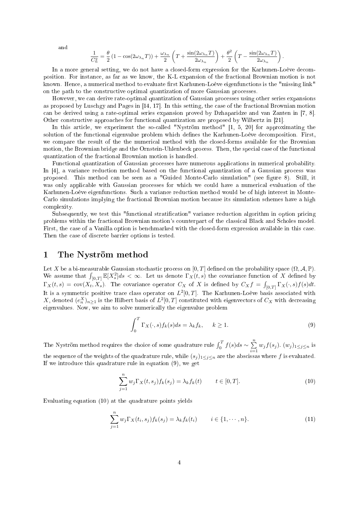and

$$
\frac{1}{C_n^2} = \frac{\theta}{2} \left( 1 - \cos(2\omega_{\lambda_n} T) \right) + \frac{\omega_{\lambda_n}}{2} \left( T + \frac{\sin(2\omega_{\lambda_n} T)}{2\omega_{\lambda_n}} \right) + \frac{\theta^2}{2} \left( T - \frac{\sin(2\omega_{\lambda_n} T)}{2\omega_{\lambda_n}} \right)
$$

.

In a more general setting, we do not have a closed-form expression for the Karhunen-Loève decomposition. For instan
e, as far as we know, the K-L expansion of the fra
tional Brownian motion is not known. Hence, a numerical method to evaluate first Karhunen-Loève eigenfunctions is the "missing link" on the path to the constructive optimal quantization of more Gaussian processes.

However, we an derive rate-optimal quantization of Gaussian pro
esses using other series expansions as proposed by Luschgy and Pages in  $[14, 17]$ . In this setting, the case of the fractional Brownian motion can be derived using a rate-optimal series expansion proved by Dzhaparidze and van Zanten in [7, 8]. Other constructive approaches for functional quantization are proposed by Wilbertz in [21].

In this article, we experiment the so-called "Nyström method" [1, 5, 20] for approximating the solution of the functional eigenvalue problem which defines the Karhunen-Loève decomposition. First, we compare the result of the the numerical method with the closed-forms available for the Brownian motion, the Brownian bridge and the Ornstein-Uhlenbeck process. Then, the special case of the functional quantization of the fra
tional Brownian motion is handled.

Fun
tional quantization of Gaussian pro
esses have numerous appli
ations in numeri
al probability. In [4], a variance reduction method based on the functional quantization of a Gaussian process was proposed. This method can be seen as a "Guided Monte-Carlo simulation" (see figure 8). Still, it was only applicable with Gaussian processes for which we could have a numerical evaluation of the Karhunen-Loève eigenfunctions. Such a variance reduction method would be of high interest in Monte-Carlo simulations implying the fractional Brownian motion because its simulation schemes have a high omplexity.

Subsequently, we test this "functional stratification" variance reduction algorithm in option pricing problems within the fractional Brownian motion's counterpart of the classical Black and Scholes model. First, the case of a Vanilla option is benchmarked with the closed-form expression available in this case. Then the case of discrete barrier options is tested.

## <sup>1</sup> The Nyström method

Let X be a bi-measurable Gaussian stochastic process on [0, T] defined on the probability space  $(\Omega, \mathcal{A}, \mathbb{P})$ . We assume that  $\int_{[0,T]} \mathbb{E}[X_s^2]ds < \infty$ . Let us denote  $\Gamma_X(t,s)$  the covariance function of X defined by  $\Gamma_X(t,s) = \text{cov}(X_t, X_s)$ . The covariance operator  $C_X$  of X is defined by  $C_X f = \int_{[0,T]} \Gamma_X(\cdot, s) f(s) dt$ . It is a symmetric positive trace class operator on  $L^2[0,T]$ . The Karhunen-Loève basis associated with X, denoted  $(e_n^X)_{n\geq 1}$  is the Hilbert basis of  $L^2[0,T]$  constituted with eigenvectors of  $C_X$  with decreasing eigenvalues. Now, we aim to solve numerically the eigenvalue problem

$$
\int_0^T \Gamma_X(\cdot, s) f_k(s) ds = \lambda_k f_k, \quad k \ge 1.
$$
\n(9)

The Nyström method requires the choice of some quadrature rule  $\int_0^T f(s)ds \sim \sum_{i=1}^n$  $\sum_{i=1}^{\infty} w_j f(s_j)$ .  $(w_j)_{1 \leq j \leq n}$  is the sequence of the weights of the quadrature rule, while  $(s_j)_{1\leq j\leq n}$  are the abscissas where f is evaluated. If we introdu
e this quadrature rule in equation (9), we get

$$
\sum_{j=1}^{n} w_j \Gamma_X(t, s_j) f_k(s_j) = \lambda_k f_k(t) \qquad t \in [0, T].
$$
\n(10)

Evaluating equation (10) at the quadrature points yields

$$
\sum_{j=1}^{n} w_j \Gamma_X(t_i, s_j) f_k(s_j) = \lambda_k f_k(t_i) \qquad i \in \{1, \cdots, n\}.
$$
 (11)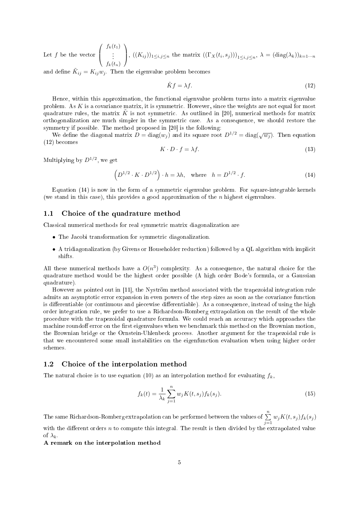Let  $f$  be the vector  $\sqrt{ }$  $\overline{ }$  $f_k(t_1)$  $f_k(t_n)$  $\setminus$ ,  $((K_{ij}))_{1\leq i,j\leq n}$  the matrix  $((\Gamma_X(t_i,s_j)))_{1\leq i,j\leq n}$ ,  $\lambda = (\text{diag}(\lambda_k))_{k=1\cdots n}$ 

and define  $\tilde K_{ij} = K_{ij} w_j.$  Then the eigenvalue problem becomes

$$
\tilde{K}f = \lambda f. \tag{12}
$$

Hence, within this approximation, the functional eigenvalue problem turns into a matrix eigenvalue problem. As K is a covariance matrix, it is symmetric. However, since the weights are not equal for most quadrature rules, the matrix K is not symmetric. As outlined in [20], numerical methods for matrix orthogonalization are much simpler in the symmetric case. As a consequence, we should restore the symmetry if possible. The method proposed in  $[20]$  is the following:

We define the diagonal matrix  $D = diag(w_j)$  and its square root  $D^{1/2} = diag(\sqrt{w_j})$ . Then equation (12) be
omes

$$
K \cdot D \cdot f = \lambda f. \tag{13}
$$

Multiplying by  $D^{1/2}$ , we get

$$
\left(D^{1/2} \cdot K \cdot D^{1/2}\right) \cdot h = \lambda h, \quad \text{where} \quad h = D^{1/2} \cdot f. \tag{14}
$$

Equation (14) is now in the form of a symmetric eigenvalue problem. For square-integrable kernels (we stand in this ase), this provides a good approximation of the n highest eigenvalues.

### 1.1 Choi
e of the quadrature method

Classical numerical methods for real symmetric matrix diagonalization are

- The Jacobi transformation for symmetric diagonalization.
- A tridiagonalization (by Givens or Householder reduction) followed by a QL algorithm with implicit shifts.

All these numerical methods have a  $O(n^3)$  complexity. As a consequence, the natural choice for the quadrature method would be the highest order possible (A high order Bode's formula, or a Gaussian quadrature).

However as pointed out in [11], the Nyström method associated with the trapezoidal integration rule admits an asymptotic error expansion in even powers of the step sizes as soon as the covariance function is differentiable (or continuous and piecewise differentiable). As a consequence, instead of using the high order integration rule, we prefer to use a Richardson-Romberg extrapolation on the result of the whole procedure with the trapezoidal quadrature formula. We could reach an accuracy which approaches the machine roundoff error on the first eigenvalues when we benchmark this method on the Brownian motion, the Brownian bridge or the Ornstein-Uhlenbe
k pro
ess. Another argument for the trapezoidal rule is that we en
ountered some small instabilities on the eigenfun
tion evaluation when using higher order s
hemes.

#### 1.2 Choi
e of the interpolation method

The natural choice is to use equation (10) as an interpolation method for evaluating  $f_k$ ,

$$
f_k(t) = \frac{1}{\lambda_k} \sum_{j=1}^n w_j K(t, s_j) f_k(s_j).
$$
 (15)

The same Richardson-Romberg extrapolation can be performed between the values of  $\sum_{n=1}^n$  $\sum_{j=1} w_j K(t, s_j) f_k(s_j)$ with the different orders  $n$  to compute this integral. The result is then divided by the extrapolated value of  $\lambda_k$ 

A remark on the interpolation method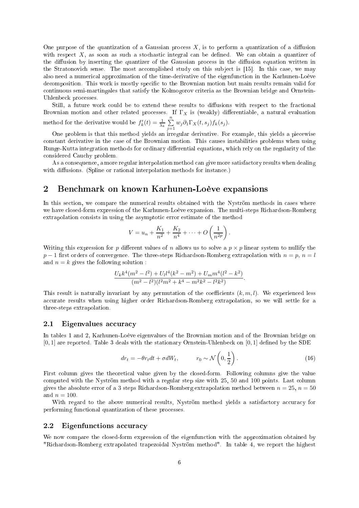One purpose of the quantization of a Gaussian process  $X$ , is to perform a quantization of a diffusion with respect  $X$ , as soon as such a stochastic integral can be defined. We can obtain a quantizer of the diffusion by inserting the quantizer of the Gaussian process in the diffusion equation written in the Stratonovich sense. The most accomplished study on this subject is [15]. In this case, we may also need a numeri
al approximation of the time-derivative of the eigenfun
tion in the Karhunen-Loève decomposition. This work is mostly specific to the Brownian motion but main results remain valid for ontinuous semi-martingales that satisfy the Kolmogorov riteria as the Brownian bridge and Ornstein-Uhlenbeck processes.

Still, a future work could be to extend these results to diffusions with respect to the fractional Brownian motion and other related processes. If  $\Gamma_X$  is (weakly) differentiable, a natural evaluation method for the derivative would be  $f'_k(t) = \frac{1}{\lambda_k} \sum_{i=1}^n$  $\sum_{j=1} w_j \partial_1 \Gamma_X(t, s_j) f_k(s_j).$ 

One problem is that this method yields an irregular derivative. For example, this yields a piecewise constant derivative in the case of the Brownian motion. This causes instabilities problems when using Runge-Kutta integration methods for ordinary differential equations, which rely on the regularity of the onsidered Cau
hy problem.

As a onsequen
e, a more regular interpolation method an give more satisfa
tory results when dealing with diffusions. (Spline or rational interpolation methods for instance.)

# <sup>2</sup> Ben
hmark on known Karhunen-Loève expansions

In this section, we compare the numerical results obtained with the Nyström methods in cases where we have closed-form expression of the Karhunen-Loève expansion. The multi-steps Richardson-Romberg extrapolation onsists in using the asymptoti error estimate of the method

$$
V = u_n + \frac{K_1}{n^2} + \frac{K_2}{n^4} + \dots + O\left(\frac{1}{n^{2p}}\right).
$$

Writing this expression for p different values of n allows us to solve a  $p \times p$  linear system to nullify the  $p-1$  first orders of convergence. The three-steps Richardson-Romberg extrapolation with  $n = p$ ,  $n = l$ and  $n = k$  gives the following solution :

$$
\frac{U_k k^4 (m^2 - l^2) + U_l l^4 (k^2 - m^2) + U_m m^4 (l^2 - k^2)}{(m^2 - l^2)(l^2 m^2 + k^4 - m^2 k^2 - l^2 k^2)}.
$$

This result is naturally invariant by any permutation of the coefficients  $(k, m, l)$ . We experienced less a

urate results when using higher order Ri
hardson-Romberg extrapolation, so we will settle for a three-steps extrapolation.

#### 2.1 Eigenvalues accuracy

In tables 1 and 2, Karhunen-Loève eigenvalues of the Brownian motion and of the Brownian bridge on  $[0, 1]$  are reported. Table 3 deals with the stationary Ornstein-Uhlenbeck on  $[0, 1]$  defined by the SDE

$$
dr_t = -\theta r_t dt + \sigma dW_t, \qquad r_0 \sim \mathcal{N}\left(0, \frac{1}{2}\right). \tag{16}
$$

First column gives the theoretical value given by the closed-form. Following columns give the value computed with the Nyström method with a regular step size with 25, 50 and 100 points. Last column gives the absolute error of a 3 steps Richardson-Romberg extrapolation method between  $n = 25$ ,  $n = 50$ and  $n = 100$ .

With regard to the above numerical results, Nyström method yields a satisfactory accuracy for performing fun
tional quantization of these pro
esses.

## 2.2 Eigenfunctions accuracy

We now compare the closed-form expression of the eigenfunction with the approximation obtained by "Richardson-Romberg extrapolated trapezoidal Nyström method". In table 4, we report the highest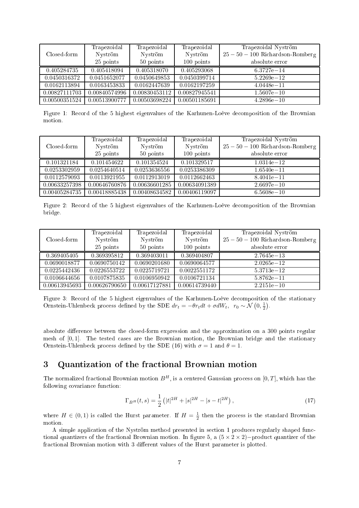|               | Trapezoidal   | Trapezoidal   | Trapezoidal   | Trapezoidal Nyström            |
|---------------|---------------|---------------|---------------|--------------------------------|
| Closed-form   | Nyström       | Nyström       | Nyström       | $25-50-100$ Richardson-Romberg |
|               | 25 points     | 50 points     | 100 points    | absolute error                 |
| 0.405284735   | 0.405418094   | 0.405318070   | 0.405293068   | $6.3727e - 14$                 |
| 0.0450316372  | 0.0451652077  | 0.0450649853  | 0.0450399714  | $5.2269e - 12$                 |
| 0.0162113894  | 0.0163453833  | 0.0162447639  | 0.0162197259  | $4.0448e - 11$                 |
| 0.00827111703 | 0.00840574996 | 0.00830453112 | 0.00827945541 | $1.5607e - 10$                 |
| 0.00500351524 | 0.00513900777 | 0.00503698224 | 0.00501185691 | $4.2896e - 10$                 |

Figure 1: Record of the 5 highest eigenvalues of the Karhunen-Loève decomposition of the Brownian motion.

|               | Trapezoidal   | Trapezoidal   | Trapezoidal   | Trapezoidal Nyström            |
|---------------|---------------|---------------|---------------|--------------------------------|
| Closed-form   | Nyström       | Nyström       | Nyström       | $25-50-100$ Richardson-Romberg |
|               | 25 points     | 50 points     | 100 points    | absolute error                 |
| 0.101321184   | 0.101454622   | 0.101354524   | 0.101329517   | $1.0314e - 12$                 |
| 0.0253302959  | 0.0254640514  | 0.0253636556  | 0.0253386309  | $1.6540e - 11$                 |
| 0.0112579093  | 0.0113921955  | 0.0112913019  | 0.0112662463  | $8.4041e - 11$                 |
| 0.00633257398 | 0.00646760876 | 0.00636601285 | 0.00634091389 | $2.6697e - 10$                 |
| 0.00405284735 | 0.00418885438 | 0.00408634582 | 0.00406119097 | $6.5608e - 10$                 |

Figure 2: Record of the 5 highest eigenvalues of the Karhunen-Loève decomposition of the Brownian bridge.

|               | Trapezoidal   | Trapezoidal   | Trapezoidal   | Trapezoidal Nyström            |
|---------------|---------------|---------------|---------------|--------------------------------|
| Closed-form   | Nyström       | Nyström       | Nyström       | $25-50-100$ Richardson-Romberg |
|               | 25 points     | 50 points     | 100 points    | absolute error                 |
| 0.369405405   | 0.369395812   | 0.369403011   | 0.369404807   | $2.7645e - 13$                 |
| 0.0690018877  | 0.0690750142  | 0.0690201680  | 0.0690064577  | $2.0265e - 12$                 |
| 0.0225442436  | 0.0226553722  | 0.0225719721  | 0.0022551172  | $5.3713e - 12$                 |
| 0.0106644656  | 0.0107875835  | 0.0106950942  | 0.0106721134  | $5.8762e - 11$                 |
| 0.00613945693 | 0.00626790650 | 0.00617127881 | 0.00614739440 | $2.2151e - 10$                 |

Figure 3: Record of the 5 highest eigenvalues of the Karhunen-Loève decomposition of the stationary Ornstein-Uhlenbeck process defined by the SDE  $dr_t = -\theta r_t dt + \sigma dW_t$ ,  $r_0 \sim \mathcal{N}\left(0, \frac{1}{2}\right)$ .

absolute difference between the closed-form expression and the approximation on a 300 points regular mesh of  $[0, 1]$ . The tested cases are the Brownian motion, the Brownian bridge and the stationary Ornstein-Uhlenbeck process defined by the SDE (16) with  $\sigma = 1$  and  $\theta = 1$ .

# <sup>3</sup> Quantization of the fra
tional Brownian motion

The normalized fractional Brownian motion  $B<sup>H</sup>$ , is a centered Gaussian process on [0, T], which has the following covariance function:

$$
\Gamma_{B^H}(t,s) = \frac{1}{2} \left( |t|^{2H} + |s|^{2H} - |s - t|^{2H} \right),\tag{17}
$$

where  $H \in (0,1)$  is called the Hurst parameter. If  $H = \frac{1}{2}$  then the process is the standard Brownian motion.

A simple application of the Nyström method presented in section 1 produces regularly shaped functional quantizers of the fractional Brownian motion. In figure 5, a  $(5 \times 2 \times 2)$  – product quantizer of the fractional Brownian motion with 3 different values of the Hurst parameter is plotted.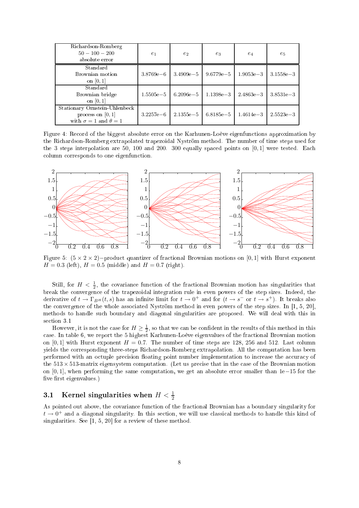| Richardson-Romberg<br>$50 - 100 - 200$<br>absolute error                                  | $e_1$         | $e_2$         | $e_3$         | $e_4$         | $e_5$         |
|-------------------------------------------------------------------------------------------|---------------|---------------|---------------|---------------|---------------|
| Standard<br>Brownian motion<br>on $[0,1]$                                                 | $3.8769e - 6$ | $3.4909e - 5$ | $9.6779e - 5$ | $1.9053e - 3$ | $3.1558e - 3$ |
| Standard<br>Brownian bridge<br>on $[0, 1]$                                                | $1.5505e - 5$ | $6.2096e - 5$ | $1.1398e - 3$ | $2.4863e - 3$ | $3.8531e - 3$ |
| Stationary Ornstein-Uhlenbeck<br>process on $[0,1]$<br>with $\sigma = 1$ and $\theta = 1$ | $3.2257e - 6$ | $2.1355e - 5$ | $6.8185e - 5$ | $1.4614e - 3$ | $2.5523e - 3$ |

Figure 4: Record of the biggest absolute error on the Karhunen-Loève eigenfunctions approximation by the Richardson-Romberg extrapolated trapezoidal Nyström method. The number of time steps used for the 3 steps interpolation are 50, 100 and 200. 300 equally spaced points on [0,1] were tested. Each olumn orresponds to one eigenfun
tion.



Figure 5:  $(5 \times 2 \times 2)$  – product quantizer of fractional Brownian motions on [0, 1] with Hurst exponent  $H = 0.3$  (left),  $H = 0.5$  (middle) and  $H = 0.7$  (right).

Still, for  $H < \frac{1}{2}$ , the covariance function of the fractional Brownian motion has singularities that break the onvergen
e of the trapezoidal integration rule in even powers of the step sizes. Indeed, the derivative of  $t \to \Gamma_{B^H}(t,s)$  has an infinite limit for  $t \to 0^+$  and for  $(t \to s^-$  or  $t \to s^+)$ . It breaks also the convergence of the whole associated Nyström method in even powers of the step sizes. In [1, 5, 20], methods to handle su
h boundary and diagonal singularities are proposed. We will deal with this in section 3.1

However, it is not the case for  $H \geq \frac{1}{2}$ , so that we can be confident in the results of this method in this case. In table 6, we report the 5 highest Karhunen-Loève eigenvalues of the fractional Brownian motion on [0, 1] with Hurst exponent  $H = 0.7$ . The number of time steps are 128, 256 and 512. Last column yields the orresponding three-steps Ri
hardson-Romberg extrapolation. All the omputation has been performed with an octuple precision floating point number implementation to increase the accuracy of the  $513 \times 513$ -matrix eigensystem computation. (Let us precise that in the case of the Brownian motion on [0, 1], when performing the same omputation, we get an absolute error smaller than 1e−15 for the five first eigenvalues.)

# 3.1 Kernel singularities when  $H < \frac{1}{2}$

As pointed out above, the covariance function of the fractional Brownian has a boundary singularity for  $t \to 0^+$  and a diagonal singularity. In this section, we will use classical methods to handle this kind of singularities. See  $[1, 5, 20]$  for a review of these method.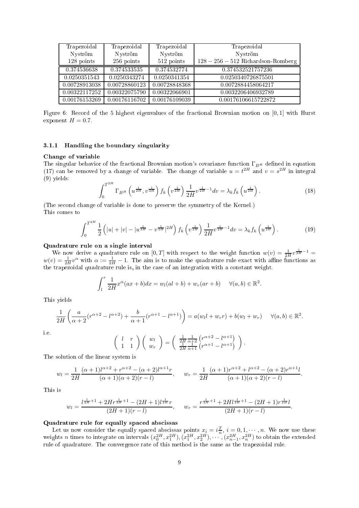| Trapezoidal   | Trapezoidal   | Trapezoidal   | Trapezoidal                      |
|---------------|---------------|---------------|----------------------------------|
| Nyström       | Nyström       | Nyström       | Nyström                          |
| 128 points    | 256 points    | 512 points    | $128-256-512$ Richardson-Romberg |
| 0.374536638   | 0.374533535   | 0.374532774   | 0.374532521757236                |
| 0.0250351543  | 0.0250343274  | 0.0250341354  | 0.0250340726875501               |
| 0.00728913038 | 0.00728860123 | 0.00728848368 | 0.0072884458064217               |
| 0.00322117252 | 0.00322075790 | 0.00322066901 | 0.0032206406932789               |
| 0.00176153269 | 0.00176116702 | 0.00176109039 | 0.00176106615722872              |

Figure 6: Record of the 5 highest eigenvalues of the fractional Brownian motion on [0,1] with Hurst exponent  $H = 0.7$ .

#### 3.1.1 Handling the boundary singularity

#### Change of variable

The singular behavior of the fractional Brownian motion's covariance function  $\Gamma_{B^H}$  defined in equation (17) can be removed by a change of variable. The change of variable  $u = t^{2H}$  and  $v = s^{2H}$  in integral (9) yields:  $\overline{a}$ 

$$
\int_0^{T^{2H}} \Gamma_{B^H} \left( u^{\frac{1}{2H}}, v^{\frac{1}{2H}} \right) f_k \left( v^{\frac{1}{2H}} \right) \frac{1}{2H} v^{\frac{1}{2H}-1} dv = \lambda_k f_k \left( u^{\frac{1}{2H}} \right). \tag{18}
$$

(The se
ond hange of variable is done to preserve the symmetry of the Kernel.) This omes to

$$
\int_0^{T^{2H}} \frac{1}{2} \left( |u| + |v| - |u^{\frac{1}{2H}} - v^{\frac{1}{2H}}|^{2H} \right) f_k \left( v^{\frac{1}{2H}} \right) \frac{1}{2H} v^{\frac{1}{2H} - 1} dv = \lambda_k f_k \left( u^{\frac{1}{2H}} \right). \tag{19}
$$

#### Quadrature rule on a single interval

We now derive a quadrature rule on  $[0,T]$  with respect to the weight function  $w(v) = \frac{1}{2H}v^{\frac{1}{2H}-1}$  $w(v) = \frac{1}{2H}v^{\alpha}$  with  $\alpha := \frac{1}{2H} - 1$ . The aim is to make the quadrature rule exact with affine functions as the trapezoidal quadrature rule is, in the case of an integration with a constant weight.

$$
\int_l^r \frac{1}{2H} x^{\alpha} (ax+b) dx = w_l(al+b) + w_r(ar+b) \quad \forall (a,b) \in \mathbb{R}^2.
$$

This yields

$$
\frac{1}{2H}\left(\frac{a}{\alpha+2}(r^{\alpha+2}-l^{\alpha+2})+\frac{b}{\alpha+1}(r^{\alpha+1}-l^{\alpha+1})\right)=a(w_l l+w_r r)+b(w_l+w_r)\quad \forall (a,b)\in\mathbb{R}^2.
$$

i.e.

$$
\left(\begin{array}{cc} l & r \\ 1 & 1 \end{array}\right) \left(\begin{array}{c} w_l \\ w_r \end{array}\right) = \left(\begin{array}{c} \frac{1}{2H} \frac{1}{\alpha+2} \left( r^{\alpha+2} - l^{\alpha+1} \right) \\ \frac{1}{2H} \frac{1}{\alpha+1} \left( r^{\alpha+1} - l^{\alpha+1} \right) \end{array}\right).
$$

The solution of the linear system is

$$
w_l = \frac{1}{2H} \frac{(\alpha+1)l^{\alpha+2} + r^{\alpha+2} - (\alpha+2)l^{\alpha+1}r}{(\alpha+1)(\alpha+2)(r-l)}, \qquad w_r = \frac{1}{2H} \frac{(\alpha+1)r^{\alpha+2} + l^{\alpha+2} - (\alpha+2)r^{\alpha+1}l}{(\alpha+1)(\alpha+2)(r-l)}.
$$

This is

$$
w_l = \frac{l^{\frac{1}{2H}+1} + 2Hr^{\frac{1}{2H}+1} - (2H+1)l^{\frac{1}{2H}}r}{(2H+1)(r-l)}, \qquad w_r = \frac{r^{\frac{1}{2H}+1} + 2Hl^{\frac{1}{2H}+1} - (2H+1)r^{\frac{1}{2H}}l}{(2H+1)(r-l)}.
$$

#### Quadrature rule for equally spa
ed abs
issas

Let us now consider the equally spaced abscissas points  $x_i = i\frac{T}{n}, i = 0, 1, \dots, n$ . We now use these weights n times to integrate on intervals  $(x_0^{2H}, x_1^{2H}), (x_1^{2H}, x_2^{2H}), \cdots, (x_{n-1}^{2H}, x_n^{2H})$  to obtain the extended rule of quadrature. The convergence rate of this method is the same as the trapezoidal rule.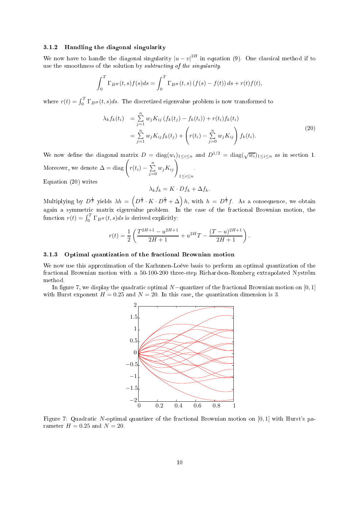#### 3.1.2 Handling the diagonal singularity

We now have to handle the diagonal singularity  $|u - v|^{2H}$  in equation (9). One classical method if to use the smoothness of the solution by *subtracting* of the *singularity*.

$$
\int_0^T \Gamma_{B^H}(t,s)f(s)ds = \int_0^T \Gamma_{B^H}(t,s) (f(s) - f(t)) ds + r(t)f(t),
$$

where  $r(t) = \int_0^T \Gamma_{B^H}(t, s) ds$ . The discretized eigenvalue problem is now transformed to

$$
\lambda_k f_k(t_i) = \sum_{j=1}^n w_j K_{ij} \left( f_k(t_j) - f_k(t_i) \right) + r(t_i) f_k(t_i)
$$
  
= 
$$
\sum_{j=1}^n w_j K_{ij} f_k(t_j) + \left( r(t_i) - \sum_{j=0}^n w_j K_{ij} \right) f_k(t_i).
$$
 (20)

We now define the diagonal matrix  $D = \text{diag}(w_i)_{1 \leq i \leq n}$  and  $D^{1/2} = \text{diag}(\sqrt{w_i})_{1 \leq i \leq n}$  as in section 1. Moreover, we denote  $\Delta = \text{diag}\left(r(t_i) - \sum_{i=1}^n r_i^2\right)$  $\sum_{j=0}^n w_j K_{ij}$  $1 \leq i \leq n$ Equation (20) writes

$$
\lambda_k f_k = K \cdot D f_k + \Delta f_k.
$$

Multiplying by  $D^{\frac{1}{2}}$  yields  $\lambda h = \left(D^{\frac{1}{2}} \cdot K \cdot D^{\frac{1}{2}} + \Delta\right)h$ , with  $h = D^{\frac{1}{2}}f$ . As a consequence, we obtain function  $r(t) = \int_0^T \Gamma_{BH}(t, s)ds$  is derived explicitly:

$$
r(t) = \frac{1}{2} \left( \frac{T^{2H+1} - u^{2H+1}}{2H+1} + u^{2H}T - \frac{(T-u)^{2H+1}}{2H+1} \right).
$$

## 3.1.3 Optimal quantization of the fra
tional Brownian motion

We now use this approximation of the Karhunen-Loève basis to perform an optimal quantization of the fra
tional Brownian motion with <sup>a</sup> 50-100-200 three-step Ri
hardson-Romberg extrapolated Nyström method.

In figure 7, we display the quadratic optimal  $N$ -quantizer of the fractional Brownian motion on [0, 1] with Hurst exponent  $H = 0.25$  and  $N = 20$ . In this case, the quantization dimension is 3.



Figure 7: Quadratic N-optimal quantizer of the fractional Brownian motion on  $[0,1]$  with Hurst's parameter  $H = 0.25$  and  $N = 20$ .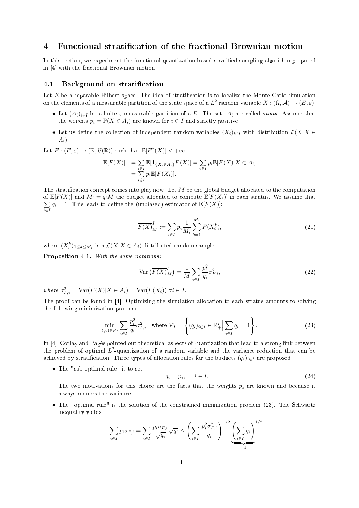#### Functional stratification of the fractional Brownian motion  $\overline{4}$

In this section, we experiment the functional quantization based stratified sampling algorithm proposed in  $[4]$  with the fractional Brownian motion.

#### Background on stratification  $4.1$

Let  $E$  be a separable Hilbert space. The idea of stratification is to localize the Monte-Carlo simulation on the elements of a measurable partition of the state space of a  $L^2$  random variable  $X: (\Omega, \mathcal{A}) \to (E, \varepsilon)$ .

- Let  $(A_i)_{i\in I}$  be a finite  $\varepsilon$ -measurable partition of a E. The sets  $A_i$  are called *strata*. Assume that the weights  $p_i = \mathbb{P}(X \in A_i)$  are known for  $i \in I$  and strictly positive.
- Let us define the collection of independent random variables  $(X_i)_{i\in I}$  with distribution  $\mathcal{L}(X|X \in$  $A_i$ ).

Let  $F: (E, \varepsilon) \to (\mathbb{R}, \mathcal{B}(\mathbb{R}))$  such that  $\mathbb{E}[F^2(X)] < +\infty$ .

$$
\mathbb{E}[F(X)] = \sum_{i \in I} \mathbb{E}[\mathbf{1}_{\{X_i \in A_i\}} F(X)] = \sum_{i \in I} p_i \mathbb{E}[F(X)|X \in A_i]
$$
  
= 
$$
\sum_{i \in I} p_i \mathbb{E}[F(X_i)].
$$

The stratification concept comes into play now. Let  $M$  be the global budget allocated to the computation of  $\mathbb{E}[F(X)]$  and  $M_i = q_i M$  the budget allocated to compute  $\mathbb{E}[F(X_i)]$  in each stratus. We assume that P  $\sum_{i\in I} q_i = 1$ . This leads to define the (unbiased) estimator of  $\mathbb{E}[F(X)]$ :

$$
\overline{F(X)}_M^I := \sum_{i \in I} p_i \frac{1}{M_i} \sum_{k=1}^{M_i} F(X_i^k),
$$
\n(21)

where  $(X_i^k)_{1 \leq k \leq M_i}$  is a  $\mathcal{L}(X | X \in A_i)$ -distributed random sample.

Proposition 4.1. With the same notations.

$$
\operatorname{Var}\left(\overline{F(X)}_M^I\right) = \frac{1}{M} \sum_{i \in I} \frac{p_i^2}{q_i} \sigma_{F,i}^2,\tag{22}
$$

where  $\sigma_{F,i}^2 = \text{Var}(F(X)|X \in A_i) = \text{Var}(F(X_i)) \ \forall i \in I$ .

The proof can be found in [4]. Optimizing the simulation allocation to each stratus amounts to solving the following minimization problem:

$$
\min_{(q_i)\in\mathcal{P}_I} \sum_{i\in I} \frac{p_i^2}{q_i} \sigma_{F,i}^2 \quad \text{where } \mathcal{P}_I = \left\{ (q_i)_{i\in I} \in \mathbb{R}_+^I \Big| \sum_{i\in I} q_i = 1 \right\}.
$$
 (23)

In  $[4]$ , Corlay and Pagès pointed out theoretical aspects of quantization that lead to a strong link between the problem of optimal  $L^2$ -quantization of a random variable and the variance reduction that can be achieved by stratification. Three types of allocation rules for the budgets  $(q_i)_{i\in I}$  are proposed:

• The "sub-optimal rule" is to set

$$
q_i = p_i, \qquad i \in I. \tag{24}
$$

The two motivations for this choice are the facts that the weights  $p_i$  are known and because it always redu
es the varian
e.

• The "optimal rule" is the solution of the constrained minimization problem (23). The Schwartz inequality yields

$$
\sum_{i\in I} p_i \sigma_{F,i} = \sum_{i\in I} \frac{p_i \sigma_{F,i}}{\sqrt{q_i}} \sqrt{q_i} \le \left(\sum_{i\in I} \frac{p_i^2 \sigma_{F,i}^2}{q_i}\right)^{1/2} \underbrace{\left(\sum_{i\in I} q_i\right)}_{=1}^{1/2}.
$$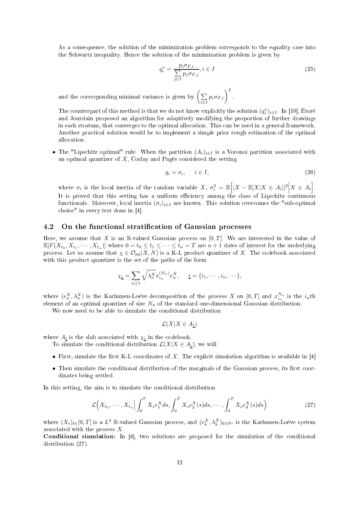As a consequence, the solution of the minimization problem corresponds to the equality case into the S
hwartz inequality. Hen
e the solution of the minimization problem is given by

$$
q_i^* = \frac{p_i \sigma_{F,i}}{\sum\limits_{j \in I} p_j \sigma_{F,j}}, i \in I
$$
\n(25)

and the corresponding minimal variance is given by  $\left(\sum_{i=1}^{n} x_i\right)^2$  $\sum_{i\in I} p_i \sigma_{F,i}$ <sup>2</sup>.

The counterpart of this method is that we do not know explicitly the solution  $(q_i^*)_{i\in I}$ . In [10], Étoré and Jourdain proposed an algorithm for adaptively modifying the proportion of further drawings in ea
h stratum, that onverges to the optimal allo
ation. This an be used in a general framework. Another practical solution would be to implement a simple prior rough estimation of the optimal allo
ation.

• The "Lipschitz optimal" rule. When the partition  $(A_i)_{i\in I}$  is a Voronoi partition associated with an optimal quantizer of  $X$ , Corlay and Pagès considered the setting

$$
q_i = \sigma_i, \quad i \in I,
$$
\n<sup>(26)</sup>

where  $\sigma_i$  is the local inertia of the random variable X,  $\sigma_i^2 = \mathbb{E} \Big[ |X - \mathbb{E}[X|X \in A_i]|^2 \Big| X \in A_i \Big].$ It is proved that this setting has a uniform efficiency among the class of Lipschitz continuous functionals. Moreover, local inertia  $(\sigma_i)_{i\in I}$  are known. This solution overcomes the "sub-optimal" choice" in every test done in  $[4]$ .

# 4.2 On the functional stratification of Gaussian processes

Here, we assume that X is an R-valued Gaussian process on  $[0, T]$ . We are interested in the value of  $\mathbb{E}[F(X_{t_0}, X_{t_1}, \cdots, X_{t_n})]$  where  $0 = t_0 \le t_1 \le \cdots \le t_n = T$  are  $n + 1$  dates of interest for the underlying process. Let us assume that  $\chi \in \mathcal{O}_{pq}(X,N)$  is a K-L product quantizer of X. The codebook associated with this product quantizer is the set of the paths of the form

$$
\chi_{\underline{i}} = \sum_{n \geq 1} \sqrt{\lambda_n^X} x_{i_n}^{(N_n)} e_n^X, \quad \underline{i} = \{i_1, \cdots, i_n, \cdots\},
$$

where  $(e_n^X, \lambda_n^X)$  is the Karhunen-Loève decomposition of the process X on  $[0,T]$  and  $x_{i_n}^{N_n}$  is the  $i_n$ th element of an optimal quantizer of size  $N_n$  of the standard one-dimensional Gaussian distribution.

We now need to be able to simulate the conditional distribution

$$
\mathcal{L}(X|X \in A_{\underline{i}})
$$

where  $A_{\underline{i}}$  is the slab associated with  $\chi_{\underline{i}}$  in the codebook.

To simulate the conditional distribution  $\mathcal{L}(X|X \in A_i)$ , we will:

- First, simulate the first K-L coordinates of X. The explicit simulation algorithm is available in  $[4]$
- Then simulate the conditional distribution of the marginals of the Gaussian process, its first coordinates being settled.

In this setting, the aim is to simulate the conditional distribution

$$
\mathcal{L}\Big(X_{t_0},\cdots,X_{t_n}\Big|\int_0^T X_s e_1^X ds,\int_0^T X_s e_2^X(s)ds,\cdots,\int_0^T X_s e_d^X(s)ds\Big) \tag{27}
$$

where  $(X_t)_{t\in}[0,T]$  is a  $L^2$  R-valued Gaussian process, and  $(e_k^X, \lambda_k^X)_{k\in\mathbb{N}^*}$  is the Karhunen-Loève system associated with the process  $X$ .

**Conditional simulation:** In  $[4]$ , two solutions are proposed for the simulation of the conditional distribution  $(27)$ .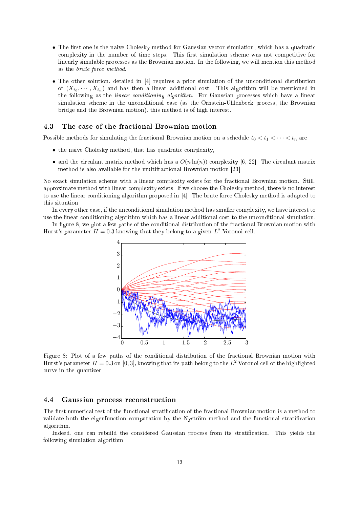- The first one is the naive Cholesky method for Gaussian vector simulation, which has a quadratic complexity in the number of time steps. This first simulation scheme was not competitive for linearly simulable pro
esses as the Brownian motion. In the following, we will mention this method as the brute for
e method.
- The other solution, detailed in [4] requires a prior simulation of the unconditional distribution of  $(X_{t_0}, \dots, X_{t_n})$  and has then a linear additional cost. This algorithm will be mentioned in the following as the *linear conditioning algorithm*. For Gaussian processes which have a linear simulation scheme in the unconditional case (as the Ornstein-Uhlenbeck process, the Brownian bridge and the Brownian motion), this method is of high interest.

## 4.3 The ase of the fra
tional Brownian motion

Possible methods for simulating the fractional Brownian motion on a schedule  $t_0 < t_1 < \cdots < t_n$  are

- the naive Cholesky method, that has quadratic complexity,
- and the circulant matrix method which has a  $O(n \ln(n))$  complexity [6, 22]. The circulant matrix method is also available for the multifractional Brownian motion [23].

No exa
t simulation s
heme with a linear omplexity exists for the fra
tional Brownian motion. Still, approximate method with linear omplexity exists. If we hoose the Cholesky method, there is no interest to use the linear conditioning algorithm proposed in [4]. The brute force Cholesky method is adapted to this situation.

In every other case, if the unconditional simulation method has smaller complexity, we have interest to use the linear conditioning algorithm which has a linear additional cost to the unconditional simulation.

In figure 8, we plot a few paths of the conditional distribution of the fractional Brownian motion with Hurst's parameter  $H = 0.3$  knowing that they belong to a given  $L^2$  Voronoi cell.



Figure 8: Plot of a few paths of the conditional distribution of the fractional Brownian motion with Hurst's parameter  $H=0.3$  on  $[0,3]$ , knowing that its path belong to the  $L^2$  Voronoi cell of the highlighted urve in the quantizer.

#### $4.4$ Gaussian process reconstruction

The first numerical test of the functional stratification of the fractional Brownian motion is a method to validate both the eigenfunction computation by the Nyström method and the functional stratification algorithm.

Indeed, one can rebuild the considered Gaussian process from its stratification. This yields the following simulation algorithm: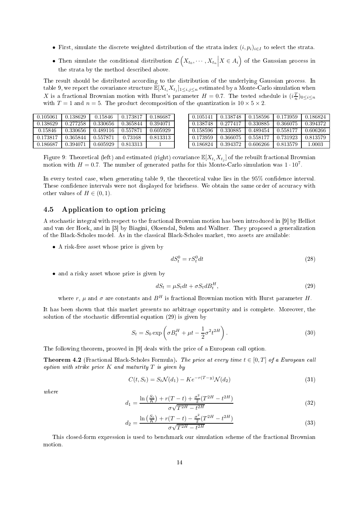- First, simulate the discrete weighted distribution of the strata index  $(i, p_i)_{i \in I}$  to select the strata.
- Then simulate the conditional distribution  $\mathcal{L}(X_{t_0}, \dots, X_{t_n} \big| X \in A_i)$  of the Gaussian process in the strata by the method des
ribed above.

The result should be distributed according to the distribution of the underlying Gaussian process. In table 9, we report the covariance structure  $\mathbb{E}[X_{t_i}X_{t_j}]_{1\leq i,j\leq n}$  estimated by a Monte-Carlo simulation when X is a fractional Brownian motion with Hurst's parameter  $H = 0.7$ . The tested schedule is  $(i\frac{T}{n})_{0 \le i \le n}$ with  $T = 1$  and  $n = 5$ . The product decomposition of the quantization is  $10 \times 5 \times 2$ .

| 0.105061 | 0.138629 | 0.15846  | 0.173817 | 0.186687 |
|----------|----------|----------|----------|----------|
| 0.138629 | 0.277258 | 0.330656 | 0.365844 | 0.394071 |
| 0.15846  | 0.330656 | 0.489116 | 0.557871 | 0.605929 |
| 0.173817 | 0.365844 | 0.557871 | 0.73168  | 0.813313 |
| 0.186687 | 0.394071 | 0.605929 | 0.813313 |          |

| 0.105141 | 0.138748 | 0.158596 | 0.173959 | 0.186824 |
|----------|----------|----------|----------|----------|
| 0.138748 | 0.277417 | 0.330885 | 0.366075 | 0.394372 |
| 0.158596 | 0.330885 | 0.489454 | 0.558177 | 0.606266 |
| 0.173959 | 0.366075 | 0.558177 | 0.731923 | 0.813579 |
| 0.186824 | 0.394372 | 0.606266 | 0.813579 | 1 0003   |

Figure 9: Theoretical (left) and estimated (right) covariance  $\mathbb{E}[X_{t_i}X_{t_j}]$  of the rebuilt fractional Brownian motion with  $H = 0.7$ . The number of generated paths for this Monte-Carlo simulation was  $1 \cdot 10^7$ .

In every tested case, when generating table 9, the theoretical value lies in the 95% confidence interval. These confidence intervals were not displayed for briefness. We obtain the same order of accuracy with other values of  $H \in (0, 1)$ .

#### 4.5 Application to option pricing

A stochastic integral with respect to the fractional Brownian motion has been introduced in [9] by Helliot and van der Hoek, and in [3] by Biagini, Øksendal, Sulem and Wallner. They proposed a generalization of the Bla
k-S
holes model. As in the lassi
al Bla
k-S
holes market, two assets are available:

• A risk-free asset whose price is given by

$$
dS_t^0 = rS_t^0 dt \tag{28}
$$

• and a risky asset whose price is given by

$$
dS_t = \mu S_t dt + \sigma S_t dB_t^H,\tag{29}
$$

where r,  $\mu$  and  $\sigma$  are constants and  $B<sup>H</sup>$  is fractional Brownian motion with Hurst parameter H.

It has been shown that this market presents no arbitrage opportunity and is complete. Moreover, the solution of the stochastic differential equation (29) is given by

$$
S_t = S_0 \exp\left(\sigma B_t^H + \mu t - \frac{1}{2}\sigma^2 t^{2H}\right). \tag{30}
$$

The following theorem, prooved in  $[9]$  deals with the price of a European call option.

**Theorem 4.2** (Fractional Black-Scholes Formula). The price at every time  $t \in [0, T]$  of a European call option with strike price  $K$  and maturity  $T$  is given by

$$
C(t, S_t) = S_t \mathcal{N}(d_1) - K e^{-r(T-y)} \mathcal{N}(d_2)
$$
\n(31)

where

$$
d_1 = \frac{\ln\left(\frac{S_t}{K}\right) + r(T - t) + \frac{\sigma^2}{2}(T^{2H} - t^{2H})}{\sigma\sqrt{T^{2H} - t^{2H}}}
$$
\n(32)

$$
d_2 = \frac{\ln\left(\frac{S_t}{K}\right) + r(T - t) - \frac{\sigma^2}{2}(T^{2H} - t^{2H})}{\sigma\sqrt{T^{2H} - t^{2H}}}
$$
\n(33)

This closed-form expression is used to benchmark our simulation scheme of the fractional Brownian motion.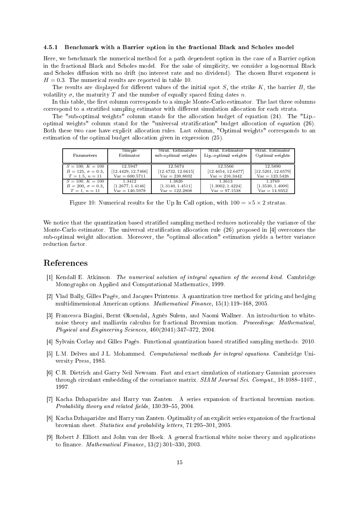#### 4.5.1 Ben
hmark with a Barrier option in the fra
tional Bla
k and S
holes model

Here, we benchmark the numerical method for a path dependent option in the case of a Barrier option in the fractional Black and Scholes model. For the sake of simplicity, we consider a log-normal Black and Scholes diffusion with no drift (no interest rate and no dividend). The chosen Hurst exponent is  $H = 0.3$ . The numerical results are reported in table 10.

The results are displayed for different values of the initial spot  $S$ , the strike  $K$ , the barrier  $B$ , the volatility  $\sigma$ , the maturity T and the number of equally spaced fixing dates n.

In this table, the first column corresponds to a simple Monte-Carlo estimator. The last three columns correspond to a stratified sampling estimator with different simulation allocation for each strata.

The "sub-optimal weights" column stands for the allocation budget of equation (24). The "Lip.optimal weights" column stand for the "universal stratification" budget allocation of equation (26). Both these two case have explicit allocation rules. Last column, "Optimal weights" corresponds to an estimation of the optimal budget allocation given in expression  $(25)$ .

| Parameters               | Simple             | Strat. Estimator    | Strat. Estimator     | Strat. Estimator   |
|--------------------------|--------------------|---------------------|----------------------|--------------------|
|                          | Estimator          | sub-optimal weights | Lip. optimal weights | Optimal weights    |
| $S = 100, K = 100$       | 12.5947            | 12.5674             | 12.5566              | 12.5890            |
| $B = 125, \sigma = 0.3,$ | [12.4429, 12.7466] | [12.4732, 12.6615]  | [12.4654, 12.6477]   | [12.5201, 12.6579] |
| $T = 1.5, n = 11$        | $Var = 600.5711$   | $Var = 230.8692$    | $Var = 216.3442$     | $Var = 123.5426$   |
| $S = 100, K = 100$       | 1.3412             | 1.3826              | 1.3613               | 1.3769             |
| $B = 200, \sigma = 0.3,$ | [1.2677, 1.4146]   | [1.3140, 1.4511]    | [1.3002, 1.4224]     | [1.3530, 1.4009]   |
| $T=1, n=11$              | $Var = 140.5978$   | $Var = 122.2808$    | $Var = 97.1538$      | $Var = 14.9352$    |

Figure 10: Numerical results for the Up In Call option, with  $100 = \times 5 \times 2$  stratas.

We notice that the quantization based stratified sampling method reduces noticeably the variance of the Monte-Carlo estimator. The universal stratification allocation rule (26) proposed in [4] overcomes the sub-optimal weight allocation. Moreover, the "optimal allocation" estimation yields a better variance reduction factor.

# Referen
es

- [1] Kendall E. Atkinson. The numerical solution of integral equation of the second kind. Cambridge Monographs on Applied and Computational Mathemati
s, 1999.
- [2] Vlad Bally, Gilles Pagès, and Jacques Printems. A quantization tree method for pricing and hedging multidimensional American options. *Mathematical Finance*, 15(1):119–168, 2005.
- [3] Francesca Biagini, Bernt Øksendal, Agnès Sulem, and Naomi Wallner. An introduction to whitenoise theory and malliavin calculus for fractional Brownian motion. Proceedings: Mathematical, Physical and Engineering Sciences,  $460(2041):347-372$ , 2004.
- [4] Sylvain Corlay and Gilles Pagès. Functional quantization based stratified sampling methods. 2010.
- [5] L.M. Delves and J.L. Mohammed. Computational methods for integral equations. Cambridge University Press, 1985.
- [6] C.R. Dietrich and Garry Neil Newsam. Fast and exact simulation of stationary Gaussian processes through circulant embedding of the covariance matrix. SIAM Journal Sci. Comput., 18:1088-1107., 1997.
- [7] Kacha Dzhaparidze and Harry van Zanten. A series expansion of fractional brownian motion. Probability theory and related fields,  $130:39-55$ ,  $2004$ .
- [8] Kacha Dzhaparidze and Harry van Zanten. Optimality of an explicit series expansion of the fractional brownian sheet. Statistics and probability letters, 71:295-301, 2005.
- [9] Robert J. Elliott and John van der Hoek. A general fractional white noise theory and applications to finance. *Mathematical Finance*,  $13(2):301-330$ ,  $2003$ .